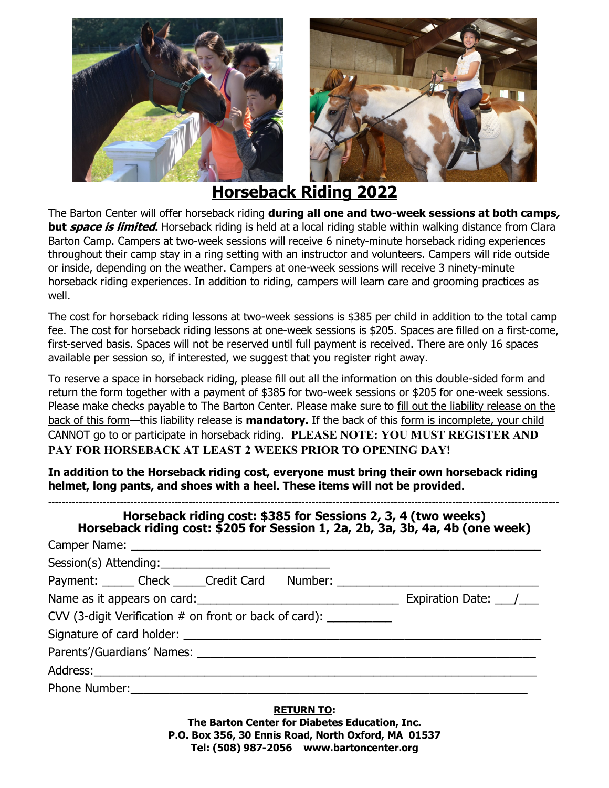



**Horseback Riding 2022**

The Barton Center will offer horseback riding **during all one and two-week sessions at both camps, but space is limited.** Horseback riding is held at a local riding stable within walking distance from Clara Barton Camp. Campers at two-week sessions will receive 6 ninety-minute horseback riding experiences throughout their camp stay in a ring setting with an instructor and volunteers. Campers will ride outside or inside, depending on the weather. Campers at one-week sessions will receive 3 ninety-minute horseback riding experiences. In addition to riding, campers will learn care and grooming practices as well.

The cost for horseback riding lessons at two-week sessions is \$385 per child in addition to the total camp fee. The cost for horseback riding lessons at one-week sessions is \$205. Spaces are filled on a first-come, first-served basis. Spaces will not be reserved until full payment is received. There are only 16 spaces available per session so, if interested, we suggest that you register right away.

To reserve a space in horseback riding, please fill out all the information on this double-sided form and return the form together with a payment of \$385 for two-week sessions or \$205 for one-week sessions. Please make checks payable to The Barton Center. Please make sure to fill out the liability release on the back of this form—this liability release is **mandatory.** If the back of this form is incomplete, your child CANNOT go to or participate in horseback riding. **PLEASE NOTE: YOU MUST REGISTER AND PAY FOR HORSEBACK AT LEAST 2 WEEKS PRIOR TO OPENING DAY!**

**In addition to the Horseback riding cost, everyone must bring their own horseback riding helmet, long pants, and shoes with a heel. These items will not be provided.**

| Horseback riding cost: \$205 for Session 1, 2a, 2b, 3a, 3b, 4a, 4b (one week) |  |
|-------------------------------------------------------------------------------|--|
| Session(s) Attending:                                                         |  |
| Payment: Check Credit Card Number: Charles Number 2014                        |  |
|                                                                               |  |
| CVV (3-digit Verification # on front or back of card): ___________            |  |
|                                                                               |  |
|                                                                               |  |
|                                                                               |  |
| Phone Number:                                                                 |  |

**RETURN TO: The Barton Center for Diabetes Education, Inc. P.O. Box 356, 30 Ennis Road, North Oxford, MA 01537 Tel: (508) 987-2056 www.bartoncenter.org**